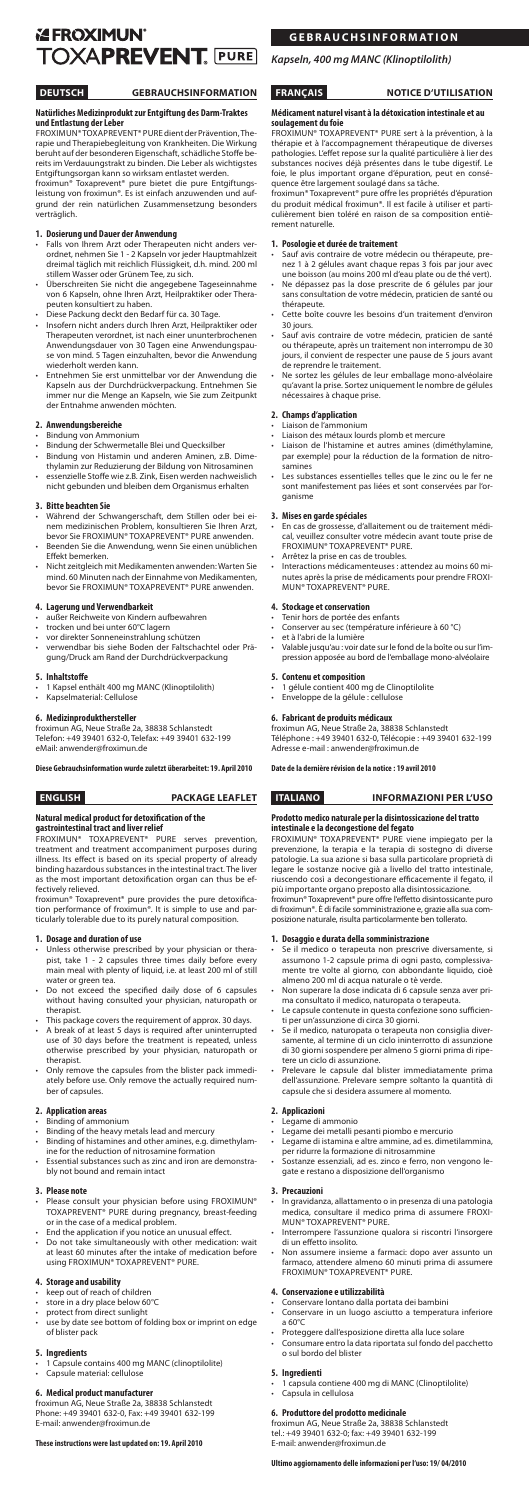# **EXPENDING TOXAPREVENT. PURE**

# **DEUTSCH GEBRAUCHSINFORMATION**

### **Natürliches Medizinprodukt zur Entgiftung des Darm-Traktes und Entlastung der Leber**

froximun® Toxaprevent® pure dient der Prävention, Therapie und Therapiebegleitung von Krankheiten. Die Wirkung beruht auf der besonderen Eigenschaft, schädliche Stoffe bereits im Verdauungstrakt zu binden. Die Leber als wichtigstes Entgiftungsorgan kann so wirksam entlastet werden.

froximun® Toxaprevent® pure bietet die pure Entgiftungsleistung von froximun®. Es ist einfach anzuwenden und aufgrund der rein natürlichen Zusammensetzung besonders verträglich.

# **1. Dosierung und Dauer der Anwendung**

- Falls von Ihrem Arzt oder Therapeuten nicht anders verordnet, nehmen Sie 1 - 2 Kapseln vor jeder Hauptmahlzeit dreimal täglich mit reichlich Flüssigkeit, d.h. mind. 200 ml stillem Wasser oder Grünem Tee, zu sich.
- • Überschreiten Sie nicht die angegebene Tageseinnahme von 6 Kapseln, ohne Ihren Arzt, Heilpraktiker oder Therapeuten konsultiert zu haben.
- Diese Packung deckt den Bedarf für ca. 30 Tage
- • Insofern nicht anders durch Ihren Arzt, Heilpraktiker oder Therapeuten verordnet, ist nach einer ununterbrochenen Anwendungsdauer von 30 Tagen eine Anwendungspause von mind. 5 Tagen einzuhalten, bevor die Anwendung wiederholt werden kann.
- • Entnehmen Sie erst unmittelbar vor der Anwendung die Kapseln aus der Durchdrückverpackung. Entnehmen Sie immer nur die Menge an Kapseln, wie Sie zum Zeitpunkt der Entnahme anwenden möchten.

- **Bindung von Ammonium**
- Bindung der Schwermetalle Blei und Quecksilber Bindung von Histamin und anderen Aminen, z.B. Dime-
- thylamin zur Reduzierung der Bildung von Nitrosaminen • essenzielle Stoffe wie z.B. Zink, Eisen werden nachweislich
- nicht gebunden und bleiben dem Organismus erhalten

- Während der Schwangerschaft, dem Stillen oder bei einem medizinischen Problem, konsultieren Sie Ihren Arzt, bevor Sie froximun® ToxaprevenT® Pure anwenden. Beenden Sie die Anwendung, wenn Sie einen unüblichen
- Effekt bemerken.
- Nicht zeitgleich mit Medikamenten anwenden: Warten Sie mind. 60 Minuten nach der Einnahme von Medikamenten, bevor Sie froximun® ToxaprevenT® Pure anwenden.

- außer Reichweite von Kindern aufbewahren
- trocken und bei unter 60°C lagern
- vor direkter Sonneneinstrahlung schützen
- verwendbar bis siehe Boden der Faltschachtel oder Prägung/Druck am Rand der Durchdrückverpackung

## **2. Anwendungsbereiche**

**gastrointestinal tract and liver relief**<br>FROXIMUN® TOXAPREVENT® PURE serves prevention, treatment and treatment accompaniment purposes during illness. Its effect is based on its special property of already binding hazardous substances in the intestinal tract. The liver as the most important detoxification organ can thus be effectively relieved.

### **3. Bitte beachten Sie**

- Legame di ammonio
	- egame dei metalli pesanti piombo e mercurio
- 
- Binding of histamines and other amines, e.g. dimethylamine for the reduction of nitrosamine formation
- Essential substances such as zinc and iron are demonstrably not bound and remain intact

### **4. Lagerung und Verwendbarkeit**

### **5. Inhaltstoffe**

- \*\*\*\*\*\*\*\*\*\*\*\*\*\*\*\*<br>1 Kapsel enthält 400 mg MANC (Klinoptilolith)
- Kapselmaterial: Cellulose

- keep out of reach of children
- store in a dry place below 60°C
- protect from direct sunlight
- use by date see bottom of folding box or imprint on edge of blister pack

### **6. Medizinprodukthersteller**

froximun AG, Neue Straße 2a, 38838 Schlanstedt Telefon: +49 39401 632-0, Telefax: +49 39401 632-199 eMail: anwender@froximun.de

#### **Diese Gebrauchsinformation wurde zuletzt überarbeitet: 19. April 2010**

# **ENGLISH PACKAGE LEAFLET**

# **Natural medical product for detoxification of the**

froximun® Toxaprevent® pure provides the pure detoxification performance of froximun®. It is simple to use and particularly tolerable due to its purely natural composition.

- Sauf avis contraire de votre médecin ou thérapeute, prenez 1 à 2 gélules avant chaque repas 3 fois par jour avec une boisson (au moins 200 ml d'eau plate ou de thé vert).
- • Ne dépassez pas la dose prescrite de 6 gélules par jour sans consultation de votre médecin, praticien de santé ou thérapeute.
- Cette boîte couvre les besoins d'un traitement d'environ 30 jours.
- Sauf avis contraire de votre médecin, praticien de santé ou thérapeute, après un traitement non interrompu de 30 jours, il convient de respecter une pause de 5 jours avant de reprendre le traitement.
- • Ne sortez les gélules de leur emballage mono-alvéolaire qu'avant la prise. Sortez uniquement le nombre de gélules nécessaires à chaque prise.

# **1. Dosage and duration of use**

- Liaison de l'ammonium
- Liaison des métaux lourds plomb et mercure Liaison de l'histamine et autres amines (diméthylamine, par exemple) pour la réduction de la formation de nitrosamines
- Les substances essentielles telles que le zinc ou le fer ne sont manifestement pas liées et sont conservées par l'organisme

- • Unless otherwise prescribed by your physician or therapist, take 1 - 2 capsules three times daily before every main meal with plenty of liquid, i.e. at least 200 ml of still water or green tea.
- Do not exceed the specified daily dose of 6 capsules without having consulted your physician, naturopath or therapist.
- This package covers the requirement of approx. 30 days.
- A break of at least 5 days is required after uninterrupted use of 30 days before the treatment is repeated, unless otherwise prescribed by your physician, naturopath or therapist.
- Only remove the capsules from the blister pack immediately before use. Only remove the actually required number of capsules.
- Tenir hors de portée des enfants Conserver au sec (température inférieure à 60 °C)
- et à l'abri de la lumière
- Valable jusqu'au : voir date sur le fond de la boîte ou sur l'impression apposée au bord de l'emballage mono-alvéolaire

- **5. Contenu et composition**  • 1 gélule contient 400 mg de Clinoptilolite
- Enveloppe de la gélule : cellulose

### **2. Application areas**

**Binding of ammonium** Binding of the heavy metals lead and mercury

#### **3. Please note**

- Please consult your physician before using FROXIMUN® ToxaprevenT® Pure during pregnancy, breast-feeding or in the case of a medical problem.
- End the application if you notice an unusual effect.
- • Do not take simultaneously with other medication: wait at least 60 minutes after the intake of medication before using FROXIMUN® TOXAPREVENT® PURE.

## **4. Storage and usability**

# **5. Ingredients**

- 1 Capsule contains 400 mg MANC (clinoptilolite)
- Capsule material: cellulose

# **6. Medical product manufacturer**

- In gravidanza, allattamento o in presenza di una patologia medica, consultare il medico prima di assumere froximun® ToxaprevenT® Pure.
- Interrompere l'assunzione qualora si riscontri l'insorgere di un effetto insolito.
- Non assumere insieme a farmaci: dopo aver assunto un farmaco, attendere almeno 60 minuti prima di assumere froximun® ToxaprevenT® Pure.

froximun AG, Neue Straße 2a, 38838 Schlanstedt Phone: +49 39401 632-0, Fax: +49 39401 632-199 E-mail: anwender@froximun.de

### **These instructions were last updated on: 19. April 2010**

- Conservare lontano dalla portata dei bambini
- Conservare in un luogo asciutto a temperatura inferiore a 60°C
- Proteggere dall'esposizione diretta alla luce solare
- Consumare entro la data riportata sul fondo del pacchetto o sul bordo del blister

#### **Médicament naturel visant à la détoxication intestinale et au soulagement du foie**

froximun® Toxaprevent® pure sert à la prévention, à la thérapie et à l'accompagnement thérapeutique de diverses pathologies. L'effet repose sur la qualité particulière à lier des substances nocives déjà présentes dans le tube digestif. Le foie, le plus important organe d'épuration, peut en conséquence être largement soulagé dans sa tâche.

froximun® Toxaprevent® pure offre les propriétés d'épuration du produit médical froximun®. Il est facile à utiliser et particulièrement bien toléré en raison de sa composition entièrement naturelle.

### **1. Posologie et durée de traitement**

### **2. Champs d'application**

# **3. Mises en garde spéciales**

- • En cas de grossesse, d'allaitement ou de traitement médical, veuillez consulter votre médecin avant toute prise de froximun® ToxaprevenT® Pure. Arrêtez la prise en cas de troubles.
- Interactions médicamenteuses : attendez au moins 60 minutes après la prise de médicaments pour prendre froximun® ToxaprevenT® Pure.

# **4. Stockage et conservation**

# **6. Fabricant de produits médicaux**

froximun AG, Neue Straße 2a, 38838 Schlanstedt Téléphone : +49 39401 632-0, Télécopie : +49 39401 632-199 Adresse e-mail : anwender@froximun.de

#### **Date de la dernière révision de la notice : 19 avril 2010**

# **italiano Informazioni per l'uso**

# **Prodotto medico naturale per la disintossicazione del tratto intestinale e la decongestione del fegato** froximun® Toxaprevent® pure viene impiegato per la

prevenzione, la terapia e la terapia di sostegno di diverse patologie. La sua azione si basa sulla particolare proprietà di legare le sostanze nocive già a livello del tratto intestinale, riuscendo così a decongestionare efficacemente il fegato, il più importante organo preposto alla disintossicazione. froximun® Toxaprevent® pure offre l'effetto disintossicante puro

di froximun®. È di facile somministrazione e, grazie alla sua composizione naturale, risulta particolarmente ben tollerato.

### **1. Dosaggio e durata della somministrazione**

- • Se il medico o terapeuta non prescrive diversamente, si assumono 1-2 capsule prima di ogni pasto, complessivamente tre volte al giorno, con abbondante liquido, cioè almeno 200 ml di acqua naturale o tè verde.
- Non superare la dose indicata di 6 capsule senza aver prima consultato il medico, naturopata o terapeuta.
- Le capsule contenute in questa confezione sono sufficienti per un'assunzione di circa 30 giorni.
- Se il medico, naturopata o terapeuta non consiglia diversamente, al termine di un ciclo ininterrotto di assunzione di 30 giorni sospendere per almeno 5 giorni prima di ripetere un ciclo di assunzione.
- • Prelevare le capsule dal blister immediatamente prima dell'assunzione. Prelevare sempre soltanto la quantità di capsule che si desidera assumere al momento.

# **2. Applicazioni**

- 
- • Legame di istamina e altre ammine, ad es. dimetilammina, per ridurre la formazione di nitrosammine
- Sostanze essenziali, ad es. zinco e ferro, non vengono legate e restano a disposizione dell'organismo

### **3. Precauzioni**

# **4. Conservazione e utilizzabilità**

### **5. Ingredienti**

- 1 capsula contiene 400 mg di MANC (Clinoptilolite)
- Capsula in cellulosa

### **6. Produttore del prodotto medicinale**

froximun AG, Neue Straße 2a, 38838 Schlanstedt tel.: +49 39401 632-0; fax: +49 39401 632-199 E-mail: anwender@froximun.de

#### **Ultimo aggiornamento delle informazioni per l'uso: 19/ 04/2010**

# **Gebrauchsinformation**

*Kapseln, 400 mg MANC (Klinoptilolith)*

# **FRANÇAIS** NOTICE D'UTILISATION